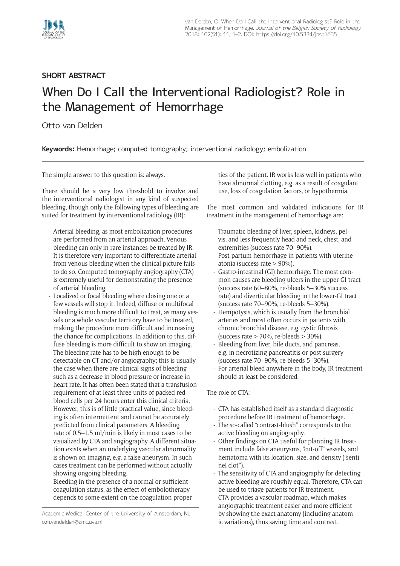

## **SHORT ABSTRACT**

# When Do I Call the Interventional Radiologist? Role in the Management of Hemorrhage

## Otto van Delden

**Keywords:** Hemorrhage; computed tomography; interventional radiology; embolization

The simple answer to this question is: always.

There should be a very low threshold to involve and the interventional radiologist in any kind of suspected bleeding, though only the following types of bleeding are suited for treatment by interventional radiology (IR):

- Arterial bleeding, as most embolization procedures are performed from an arterial approach. Venous bleeding can only in rare instances be treated by IR. It is therefore very important to differentiate arterial from venous bleeding when the clinical picture fails to do so. Computed tomography angiography (CTA) is extremely useful for demonstrating the presence of arterial bleeding.
- Localized or focal bleeding where closing one or a few vessels will stop it. Indeed, diffuse or multifocal bleeding is much more difficult to treat, as many vessels or a whole vascular territory have to be treated, making the procedure more difficult and increasing the chance for complications. In addition to this, diffuse bleeding is more difficult to show on imaging.
- The bleeding rate has to be high enough to be detectable on CT and/or angiography; this is usually the case when there are clinical signs of bleeding such as a decrease in blood pressure or increase in heart rate. It has often been stated that a transfusion requirement of at least three units of packed red blood cells per 24 hours enter this clinical criteria. However, this is of little practical value, since bleeding is often intermittent and cannot be accurately predicted from clinical parameters. A bleeding rate of 0.5–1.5 ml/min is likely in most cases to be visualized by CTA and angiography. A different situation exists when an underlying vascular abnormality is shown on imaging, e.g. a false aneurysm. In such cases treatment can be performed without actually showing ongoing bleeding.
- Bleeding in the presence of a normal or sufficient coagulation status, as the effect of embolotherapy depends to some extent on the coagulation proper-

Academic Medical Center of the University of Amsterdam, NL [o.m.vandelden@amc.uva.nl](mailto:o.m.vandelden@amc.uva.nl)

ties of the patient. IR works less well in patients who have abnormal clotting, e.g. as a result of coagulant use, loss of coagulation factors, or hypothermia.

The most common and validated indications for IR treatment in the management of hemorrhage are:

- Traumatic bleeding of liver, spleen, kidneys, pelvis, and less frequently head and neck, chest, and extremities (success rate 70–90%).
- Post-partum hemorrhage in patients with uterine atonia (success rate > 90%).
- Gastro-intestinal (GI) hemorrhage. The most common causes are bleeding ulcers in the upper-GI tract (success rate 60–80%, re-bleeds 5–30% success rate) and diverticular bleeding in the lower-GI tract (success rate 70–90%, re-bleeds 5–30%).
- Hempotysis, which is usually from the bronchial arteries and most often occurs in patients with chronic bronchial disease, e.g. cystic fibrosis (success rate  $> 70\%$ , re-bleeds  $> 30\%$ ).
- Bleeding from liver, bile ducts, and pancreas, e.g. in necrotizing pancreatitis or post-surgery (success rate 70–90%, re-bleeds 5–30%).
- For arterial bleed anywhere in the body, IR treatment should at least be considered.

### The role of CTA:

- CTA has established itself as a standard diagnostic procedure before IR treatment of hemorrhage.
- The so-called "contrast-blush" corresponds to the active bleeding on angiography.
- Other findings on CTA useful for planning IR treatment include false aneurysms, "cut-off" vessels, and hematoma with its location, size, and density ("sentinel clot").
- The sensitivity of CTA and angiography for detecting active bleeding are roughly equal. Therefore, CTA can be used to triage patients for IR treatment.
- CTA provides a vascular roadmap, which makes angiographic treatment easier and more efficient by showing the exact anatomy (including anatomic variations), thus saving time and contrast.